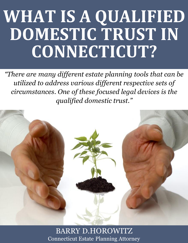# **WHAT IS A QUALIFIED DOMESTIC TRUST IN CONNECTICUT?**

*"There are many different estate planning tools that can be utilized to address various different respective sets of circumstances. One of these focused legal devices is the qualified domestic trust."*



**What Is a Qualified Domesticut Estate Planning Attorney and Connecticut Estate.** BARRY D.HOROWITZ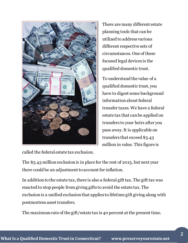

There are many different estate planning tools that can be utilized to address various different respective sets of circumstances. One of these focused legal devices is the qualified domestic trust.

To understand the value of a qualified domestic trust, you have to digest some background information about federal transfer taxes. We have a federal estate tax that can be applied on transfers to your heirs after you pass away. It is applicable on transfers that exceed \$5.43 million in value. This figure is

called the federal estate tax exclusion.

The \$5.43 million exclusion is in place for the rest of 2015, but next year there could be an adjustment to account for inflation.

In addition to the estate tax, there is also a federal gift tax. The gift tax was enacted to stop people from giving gifts to avoid the estate tax. The exclusion is a unified exclusion that applies to lifetime gift giving along with postmortem asset transfers.

The maximum rate of the gift/estate tax is 40 percent at the present time.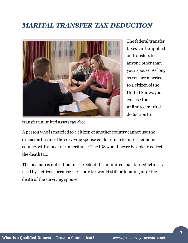## *MARITAL TRANSFER TAX DEDUCTION*



The federal transfer taxes can be applied on transfers to anyone other than your spouse. As long as you are married to a citizen of the United States, you can use the unlimited marital deduction to

transfer unlimited assets tax-free.

A person who is married to a citizen of another country cannot use the exclusion because the surviving spouse could return to his or her home country with a tax-free inheritance. The IRS would never be able to collect the death tax.

The tax man is not left out in the cold if the unlimited marital deduction is used by a citizen, because the estate tax would still be looming after the death of the surviving spouse.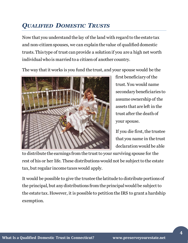# *QUALIFIED DOMESTIC TRUSTS*

Now that you understand the lay of the land with regard to the estate tax and non-citizen spouses, we can explain the value of qualified domestic trusts. This type of trust can provide a solution if you are a high net worth individual who is married to a citizen of another country.

The way that it works is you fund the trust, and your spouse would be the



first beneficiary of the trust. You would name secondary beneficiaries to assume ownership of the assets that are left in the trust after the death of your spouse.

If you die first, the trustee that you name in the trust declaration would be able

to distribute the earnings from the trust to your surviving spouse for the rest of his or her life. These distributions would not be subject to the estate tax, but regular income taxes would apply.

It would be possible to give the trustee the latitude to distribute portions of the principal, but any distributions from the principal would be subject to the estate tax. However, it is possible to petition the IRS to grant a hardship exemption.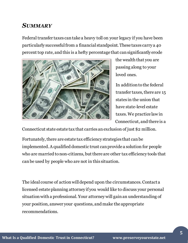### *SUMMARY*

Federal transfer taxes can take a heavy toll on your legacy if you have been particularly successful from a financial standpoint. These taxes carry a 40 percent top rate, and this is a hefty percentage that can significantly erode



the wealth that you are passing along to your loved ones.

In addition to the federal transfer taxes, there are 15 states in the union that have state-level estate taxes. We practice law in Connecticut, and there is a

Connecticut state estate tax that carries an exclusion of just \$2 million.

Fortunately, there are estate tax efficiency strategies that can be implemented. A qualified domestic trust can provide a solution for people who are married to non-citizens, but there are other tax efficiency tools that can be used by people who are not in this situation.

The ideal course of action will depend upon the circumstances. Contact a licensed estate planning attorney if you would like to discuss your personal situation with a professional. Your attorney will gain an understanding of your position, answer your questions, and make the appropriate recommendations.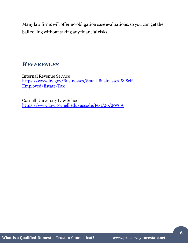Many law firms will offer no obligation case evaluations, so you can get the ball rolling without taking any financial risks.

### *REFERENCES*

Internal Revenue Service [https://www.irs.gov/Businesses/Small-Businesses-&-Self-](https://www.irs.gov/Businesses/Small-Businesses-&-Self-Employed/Estate-Tax)[Employed/Estate-Tax](https://www.irs.gov/Businesses/Small-Businesses-&-Self-Employed/Estate-Tax)

Cornell University Law School <https://www.law.cornell.edu/uscode/text/26/2056A>